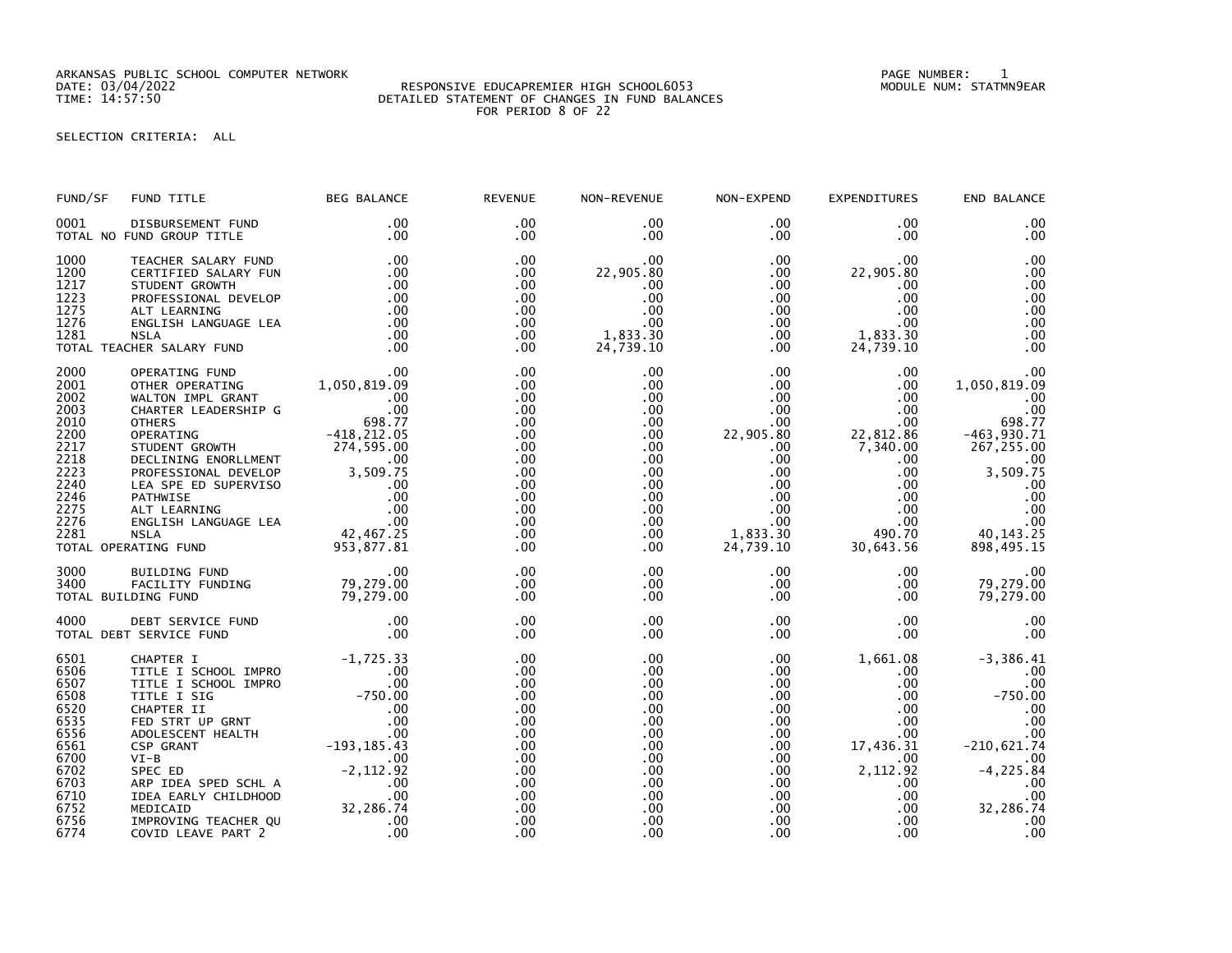ARKANSAS PUBLIC SCHOOL COMPUTER NETWORK PAGE NUMBER: 1

## DATE: 03/04/2022 RESPONSIVE EDUCAPREMIER HIGH SCHOOL6053 MODULE NUM: STATMN9EAR TIME: 14:57:50 DETAILED STATEMENT OF CHANGES IN FUND BALANCES FOR PERIOD 8 OF 22

SELECTION CRITERIA: ALL

| FUND/SF                                                                                                              | FUND TITLE                                                                                                                                                                                                                                                                                                                                 | <b>BEG BALANCE</b>                               | <b>REVENUE</b>                                                                                         | NON-REVENUE                                                                                                                                                                         | NON-EXPEND                                                                                                                                                                           | <b>EXPENDITURES</b>                                                                                                                                                           | END BALANCE                                                                                                                                           |
|----------------------------------------------------------------------------------------------------------------------|--------------------------------------------------------------------------------------------------------------------------------------------------------------------------------------------------------------------------------------------------------------------------------------------------------------------------------------------|--------------------------------------------------|--------------------------------------------------------------------------------------------------------|-------------------------------------------------------------------------------------------------------------------------------------------------------------------------------------|--------------------------------------------------------------------------------------------------------------------------------------------------------------------------------------|-------------------------------------------------------------------------------------------------------------------------------------------------------------------------------|-------------------------------------------------------------------------------------------------------------------------------------------------------|
| 0001                                                                                                                 | DISBURSEMENT FUND<br>TOTAL NO FUND GROUP TITLE                                                                                                                                                                                                                                                                                             | .00<br>.00                                       | $.00 \times$<br>$.00 \times$                                                                           | $.00 \,$<br>$.00 \,$                                                                                                                                                                | $.00 \,$<br>.00                                                                                                                                                                      | $.00 \,$<br>$.00 \,$                                                                                                                                                          | .00<br>.00                                                                                                                                            |
| 1000<br>1200<br>1217<br>1223<br>1275<br>1276<br>1281                                                                 | TEACHER SALARY FUND<br>CERTIFIED SALARY FUN<br>0.<br>ALI LEARNING 00<br>ENGLISH LANGUAGE LEA 00<br>NSLA 00<br>HER SALARY FUND 00<br>PERATING FUND 00<br>PERATING FUND 100<br>PERATING FUND<br>HER OPFPATE<br>TOTAL TEACHER SALARY FUND                                                                                                     | $\begin{array}{c} .00 \\ .00 \\ .00 \end{array}$ | .00<br>.00<br>.00<br>.00<br>$.00 \,$<br>.00<br>$.00 \,$<br>$.00 \times$                                | .00<br>22,905.80<br>.00<br>.00<br>.00<br>.00<br>1,833.30<br>24,739.10                                                                                                               | $.00 \,$<br>$.00 \,$<br>.00<br>$.00\,$<br>.00<br>.00<br>.00<br>$.00 \,$                                                                                                              | .00<br>22,905.80<br>.00<br>$.00 \,$<br>$.00 \,$<br>$.00 \,$<br>1,833.30<br>24,739.10                                                                                          | .00<br>.00<br>.00<br>.00<br>.00<br>.00<br>.00<br>.00                                                                                                  |
| 2000<br>2001<br>2002<br>2003<br>2010<br>2200<br>2217<br>2218<br>2223<br>2240<br>2246<br>2275<br>2276<br>2281         | OPERATING FUND<br>OTHER OPERATING 1,050,819.09<br>CHARTER LEADERSHIP G<br>CHARTER LEADERSHIP G<br>CHARTER LEADERSHIP G<br>CHARTER CHARTER 698.77<br>OPERATING 418,212.05<br>STUDENT GROWTH 274,595.00<br>DECLINING ENORL DEVELOP 3,509.75<br>PRO<br>TOTAL OPERATING FUND                                                                   |                                                  | .00<br>.00<br>.00<br>.00<br>.00<br>.00<br>.00<br>.00<br>.00<br>.00<br>.00<br>.00<br>.00<br>.00<br>.00  | $.00 \,$<br>.00<br>$.00 \,$<br>$.00 \,$<br>$.00 \,$<br>$.00 \,$<br>$.00 \,$<br>$.00 \,$<br>.00 <sub>1</sub><br>$.00 \,$<br>$.00 \,$<br>$.00 \,$<br>$.00 \,$<br>$.00 \,$<br>$.00 \,$ | $.00 \,$<br>.00<br>$.00\,$<br>$.00\,$<br>$.00 \,$<br>22,905.80<br>$.00 \,$<br>$.00 \,$<br>$.00 \cdot$<br>$.00 \,$<br>$.00\,$<br>$.00\,$<br>$.00\,$<br>1,833.30<br>24,739.10          | $.00 \,$<br>$.00 \,$<br>$.00 \,$<br>.00<br>$.00 \,$<br>22,812.86<br>7,340.00<br>$.00 \,$<br>$.00 \,$<br>$.00 \,$<br>.00<br>.00<br>$.00 \,$<br>490.70<br>30,643.56             | .00<br>1,050,819.09<br>.00<br>.00<br>698.77<br>$-463,930.71$<br>267,255.00<br>.00<br>3,509.75<br>.00<br>.00<br>.00<br>00<br>40, 143. 25<br>898,495.15 |
| 3000<br>3400                                                                                                         | 00. 8UILDING FUND<br>FACILITY FUNDING 79,279.00<br>LDING FUND 79,279.00<br>TOTAL BUILDING FUND                                                                                                                                                                                                                                             |                                                  | .00<br>.00<br>.00                                                                                      | $.00 \,$<br>.00 <sub>1</sub><br>$.00 \,$                                                                                                                                            | $.00\,$<br>.00<br>$.00 \,$                                                                                                                                                           | $.00 \,$<br>$.00 \,$<br>$.00 \,$                                                                                                                                              | .00<br>79,279.00<br>79,279.00                                                                                                                         |
| 4000                                                                                                                 | DEBT SERVICE FUND .00<br>F SERVICE FUND .00<br>TOTAL DEBT SERVICE FUND                                                                                                                                                                                                                                                                     |                                                  | .00<br>.00                                                                                             | .00<br>.00                                                                                                                                                                          | $.00 \,$<br>$.00 \,$                                                                                                                                                                 | $.00 \,$<br>.00                                                                                                                                                               | .00<br>.00                                                                                                                                            |
| 6501<br>6506<br>6507<br>6508<br>6520<br>6535<br>6556<br>6561<br>6700<br>6702<br>6703<br>6710<br>6752<br>6756<br>6774 | CHAPTER I -1,725.33<br>TITLE I SCHOOL IMPRO .00<br>TITLE I SCHOOL IMPRO .00<br>TITLE I STG -750.00<br>CHAPTER II .00<br>CHAPTER II .00<br>COLESCENT HEALTH .00<br>ADOLESCENT HEALTH -193,185.43<br>VI-B .00<br>$VI-B$<br>SPEC ED<br>ARP IDEA SPED SCHL A<br>IDEA EARLY CHILDHOOD<br>MEDICAID<br>IMPROVING TEACHER QU<br>COVID LEAVE PART 2 | .00                                              | .00<br>.00.<br>.00<br>.00<br>.00<br>.00<br>.00<br>.00<br>.00<br>.00<br>.00<br>.00<br>.00<br>.00<br>.00 | .00<br>.00<br>.00<br>.00<br>.00<br>.00<br>.00<br>$.00 \,$<br>.00.<br>.00<br>$.00 \,$<br>.00<br>.00<br>.00<br>.00                                                                    | $.00 \,$<br>$.00 \,$<br>$.00\,$<br>.00 <sub>1</sub><br>$.00\,$<br>.00<br>$.00 \,$<br>$.00 \,$<br>$.00 \,$<br>$.00 \cdot$<br>$.00 \cdot$<br>$.00\,$<br>.00 <sub>1</sub><br>.00<br>.00 | 1,661.08<br>$.00\,$<br>$.00 \,$<br>.00<br>.00<br>$.00 \,$<br>$.00 \,$<br>17,436.31<br>$.00\,$<br>2,112.92<br>$.00 \,$<br>$.00 \,$<br>$.00 \,$<br>$.00 \,$<br>.00 <sub>1</sub> | $-3,386.41$<br>.00<br>.00<br>$-750.00$<br>.00<br>.00<br>.00<br>$-210,621.74$<br>.00<br>$-4, 225.84$<br>.00<br>.00<br>32,286.74<br>.00<br>00           |